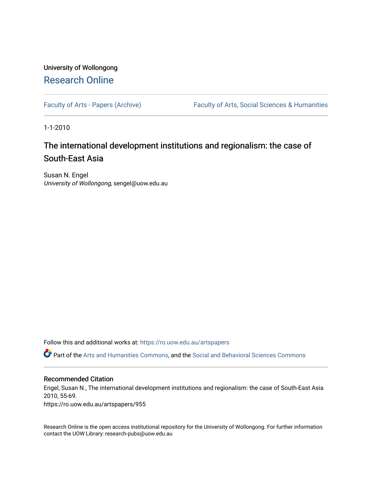# University of Wollongong [Research Online](https://ro.uow.edu.au/)

[Faculty of Arts - Papers \(Archive\)](https://ro.uow.edu.au/artspapers) Faculty of Arts, Social Sciences & Humanities

1-1-2010

# The international development institutions and regionalism: the case of South-East Asia

Susan N. Engel University of Wollongong, sengel@uow.edu.au

Follow this and additional works at: [https://ro.uow.edu.au/artspapers](https://ro.uow.edu.au/artspapers?utm_source=ro.uow.edu.au%2Fartspapers%2F955&utm_medium=PDF&utm_campaign=PDFCoverPages) 

Part of the [Arts and Humanities Commons,](http://network.bepress.com/hgg/discipline/438?utm_source=ro.uow.edu.au%2Fartspapers%2F955&utm_medium=PDF&utm_campaign=PDFCoverPages) and the [Social and Behavioral Sciences Commons](http://network.bepress.com/hgg/discipline/316?utm_source=ro.uow.edu.au%2Fartspapers%2F955&utm_medium=PDF&utm_campaign=PDFCoverPages)

#### Recommended Citation

Engel, Susan N., The international development institutions and regionalism: the case of South-East Asia 2010, 55-69.

https://ro.uow.edu.au/artspapers/955

Research Online is the open access institutional repository for the University of Wollongong. For further information contact the UOW Library: research-pubs@uow.edu.au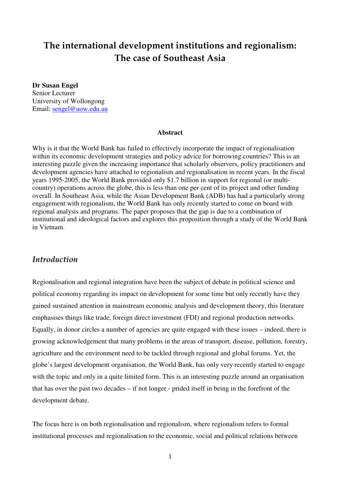# The international development institutions and regionalism: The case of Southeast Asia

### **Dr Susan Engel**

Senior Lecturer University of Wollongong Email: sengel@uow.edu.au

#### **Abstract**

Why is it that the World Bank has failed to effectively incorporate the impact of regionalisation within its economic development strategies and policy advice for borrowing countries? This is an interesting puzzle given the increasing importance that scholarly observers, policy practitioners and development agencies have attached to regionalism and regionalisation in recent years. In the fiscal years 1995-2005, the World Bank provided only \$1.7 billion in support for regional (or multicountry) operations across the globe, this is less than one per cent of its project and other funding overall. In Southeast Asia, while the Asian Development Bank (ADB) has had a particularly strong engagement with regionalism, the World Bank has only recently started to come on board with regional analysis and programs. The paper proposes that the gap is due to a combination of institutional and ideological factors and explores this proposition through a study of the World Bank in Vietnam.

## **Introduction**

Regionalisation and regional integration have been the subject of debate in political science and political economy regarding its impact on development for some time but only recently have they gained sustained attention in mainstream economic analysis and development theory, this literature emphasises things like trade, foreign direct investment (FDI) and regional production networks. Equally, in donor circles a number of agencies are quite engaged with these issues – indeed, there is growing acknowledgement that many problems in the areas of transport, disease, pollution, forestry, agriculture and the environment need to be tackled through regional and global forums. Yet, the globe's largest development organisation, the World Bank, has only very recently started to engage with the topic and only in a quite limited form. This is an interesting puzzle around an organisation that has over the past two decades – if not longer - prided itself in being in the forefront of the development debate.

The focus here is on both regionalisation and regionalism, where regionalism refers to formal institutional processes and regionalisation to the economic, social and political relations between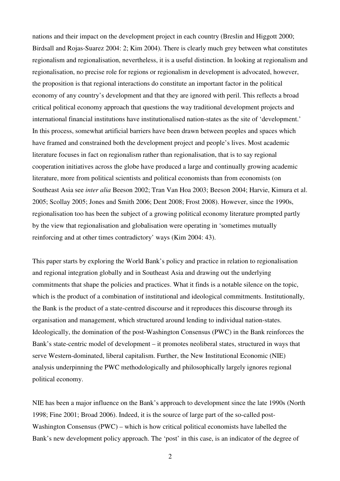nations and their impact on the development project in each country (Breslin and Higgott 2000; Birdsall and Rojas-Suarez 2004: 2; Kim 2004). There is clearly much grey between what constitutes regionalism and regionalisation, nevertheless, it is a useful distinction. In looking at regionalism and regionalisation, no precise role for regions or regionalism in development is advocated, however, the proposition is that regional interactions do constitute an important factor in the political economy of any country's development and that they are ignored with peril. This reflects a broad critical political economy approach that questions the way traditional development projects and international financial institutions have institutionalised nation-states as the site of 'development.' In this process, somewhat artificial barriers have been drawn between peoples and spaces which have framed and constrained both the development project and people's lives. Most academic literature focuses in fact on regionalism rather than regionalisation, that is to say regional cooperation initiatives across the globe have produced a large and continually growing academic literature, more from political scientists and political economists than from economists (on Southeast Asia see *inter alia* Beeson 2002; Tran Van Hoa 2003; Beeson 2004; Harvie, Kimura et al. 2005; Scollay 2005; Jones and Smith 2006; Dent 2008; Frost 2008). However, since the 1990s, regionalisation too has been the subject of a growing political economy literature prompted partly by the view that regionalisation and globalisation were operating in 'sometimes mutually reinforcing and at other times contradictory' ways (Kim 2004: 43).

This paper starts by exploring the World Bank's policy and practice in relation to regionalisation and regional integration globally and in Southeast Asia and drawing out the underlying commitments that shape the policies and practices. What it finds is a notable silence on the topic, which is the product of a combination of institutional and ideological commitments. Institutionally, the Bank is the product of a state-centred discourse and it reproduces this discourse through its organisation and management, which structured around lending to individual nation-states. Ideologically, the domination of the post-Washington Consensus (PWC) in the Bank reinforces the Bank's state-centric model of development – it promotes neoliberal states, structured in ways that serve Western-dominated, liberal capitalism. Further, the New Institutional Economic (NIE) analysis underpinning the PWC methodologically and philosophically largely ignores regional political economy.

NIE has been a major influence on the Bank's approach to development since the late 1990s (North 1998; Fine 2001; Broad 2006). Indeed, it is the source of large part of the so-called post-Washington Consensus (PWC) – which is how critical political economists have labelled the Bank's new development policy approach. The 'post' in this case, is an indicator of the degree of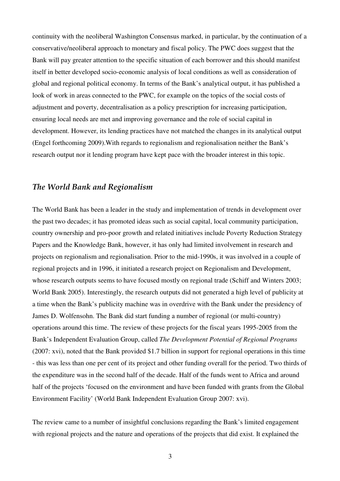continuity with the neoliberal Washington Consensus marked, in particular, by the continuation of a conservative/neoliberal approach to monetary and fiscal policy. The PWC does suggest that the Bank will pay greater attention to the specific situation of each borrower and this should manifest itself in better developed socio-economic analysis of local conditions as well as consideration of global and regional political economy. In terms of the Bank's analytical output, it has published a look of work in areas connected to the PWC, for example on the topics of the social costs of adjustment and poverty, decentralisation as a policy prescription for increasing participation, ensuring local needs are met and improving governance and the role of social capital in development. However, its lending practices have not matched the changes in its analytical output (Engel forthcoming 2009).With regards to regionalism and regionalisation neither the Bank's research output nor it lending program have kept pace with the broader interest in this topic.

## The World Bank and Regionalism

The World Bank has been a leader in the study and implementation of trends in development over the past two decades; it has promoted ideas such as social capital, local community participation, country ownership and pro-poor growth and related initiatives include Poverty Reduction Strategy Papers and the Knowledge Bank, however, it has only had limited involvement in research and projects on regionalism and regionalisation. Prior to the mid-1990s, it was involved in a couple of regional projects and in 1996, it initiated a research project on Regionalism and Development, whose research outputs seems to have focused mostly on regional trade (Schiff and Winters 2003; World Bank 2005). Interestingly, the research outputs did not generated a high level of publicity at a time when the Bank's publicity machine was in overdrive with the Bank under the presidency of James D. Wolfensohn. The Bank did start funding a number of regional (or multi-country) operations around this time. The review of these projects for the fiscal years 1995-2005 from the Bank's Independent Evaluation Group, called *The Development Potential of Regional Programs*  (2007: xvi), noted that the Bank provided \$1.7 billion in support for regional operations in this time - this was less than one per cent of its project and other funding overall for the period. Two thirds of the expenditure was in the second half of the decade. Half of the funds went to Africa and around half of the projects 'focused on the environment and have been funded with grants from the Global Environment Facility' (World Bank Independent Evaluation Group 2007: xvi).

The review came to a number of insightful conclusions regarding the Bank's limited engagement with regional projects and the nature and operations of the projects that did exist. It explained the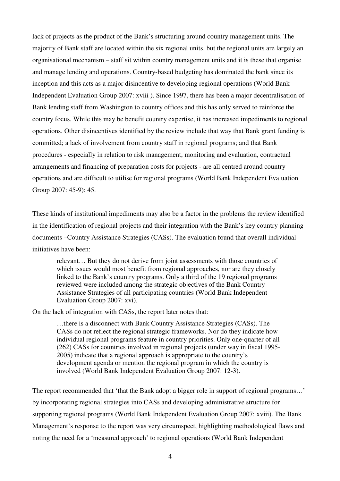lack of projects as the product of the Bank's structuring around country management units. The majority of Bank staff are located within the six regional units, but the regional units are largely an organisational mechanism – staff sit within country management units and it is these that organise and manage lending and operations. Country-based budgeting has dominated the bank since its inception and this acts as a major disincentive to developing regional operations (World Bank Independent Evaluation Group 2007: xviii ). Since 1997, there has been a major decentralisation of Bank lending staff from Washington to country offices and this has only served to reinforce the country focus. While this may be benefit country expertise, it has increased impediments to regional operations. Other disincentives identified by the review include that way that Bank grant funding is committed; a lack of involvement from country staff in regional programs; and that Bank procedures - especially in relation to risk management, monitoring and evaluation, contractual arrangements and financing of preparation costs for projects - are all centred around country operations and are difficult to utilise for regional programs (World Bank Independent Evaluation Group 2007: 45-9): 45.

These kinds of institutional impediments may also be a factor in the problems the review identified in the identification of regional projects and their integration with the Bank's key country planning documents –Country Assistance Strategies (CASs). The evaluation found that overall individual initiatives have been:

relevant… But they do not derive from joint assessments with those countries of which issues would most benefit from regional approaches, nor are they closely linked to the Bank's country programs. Only a third of the 19 regional programs reviewed were included among the strategic objectives of the Bank Country Assistance Strategies of all participating countries (World Bank Independent Evaluation Group 2007: xvi).

On the lack of integration with CASs, the report later notes that:

…there is a disconnect with Bank Country Assistance Strategies (CASs). The CASs do not reflect the regional strategic frameworks. Nor do they indicate how individual regional programs feature in country priorities. Only one-quarter of all (262) CASs for countries involved in regional projects (under way in fiscal 1995- 2005) indicate that a regional approach is appropriate to the country's development agenda or mention the regional program in which the country is involved (World Bank Independent Evaluation Group 2007: 12-3).

The report recommended that 'that the Bank adopt a bigger role in support of regional programs…' by incorporating regional strategies into CASs and developing administrative structure for supporting regional programs (World Bank Independent Evaluation Group 2007: xviii). The Bank Management's response to the report was very circumspect, highlighting methodological flaws and noting the need for a 'measured approach' to regional operations (World Bank Independent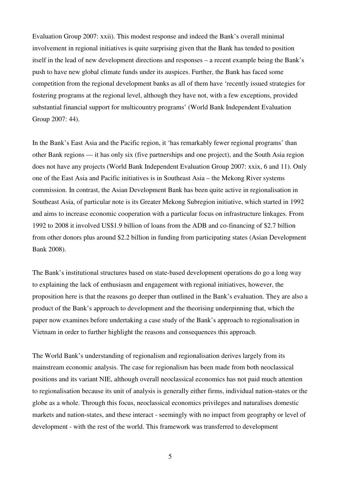Evaluation Group 2007: xxii). This modest response and indeed the Bank's overall minimal involvement in regional initiatives is quite surprising given that the Bank has tended to position itself in the lead of new development directions and responses – a recent example being the Bank's push to have new global climate funds under its auspices. Further, the Bank has faced some competition from the regional development banks as all of them have 'recently issued strategies for fostering programs at the regional level, although they have not, with a few exceptions, provided substantial financial support for multicountry programs' (World Bank Independent Evaluation Group 2007: 44).

In the Bank's East Asia and the Pacific region, it 'has remarkably fewer regional programs' than other Bank regions — it has only six (five partnerships and one project), and the South Asia region does not have any projects (World Bank Independent Evaluation Group 2007: xxix, 6 and 11). Only one of the East Asia and Pacific initiatives is in Southeast Asia – the Mekong River systems commission. In contrast, the Asian Development Bank has been quite active in regionalisation in Southeast Asia, of particular note is its Greater Mekong Subregion initiative, which started in 1992 and aims to increase economic cooperation with a particular focus on infrastructure linkages. From 1992 to 2008 it involved US\$1.9 billion of loans from the ADB and co-financing of \$2.7 billion from other donors plus around \$2.2 billion in funding from participating states (Asian Development Bank 2008).

The Bank's institutional structures based on state-based development operations do go a long way to explaining the lack of enthusiasm and engagement with regional initiatives, however, the proposition here is that the reasons go deeper than outlined in the Bank's evaluation. They are also a product of the Bank's approach to development and the theorising underpinning that, which the paper now examines before undertaking a case study of the Bank's approach to regionalisation in Vietnam in order to further highlight the reasons and consequences this approach.

The World Bank's understanding of regionalism and regionalisation derives largely from its mainstream economic analysis. The case for regionalism has been made from both neoclassical positions and its variant NIE, although overall neoclassical economics has not paid much attention to regionalisation because its unit of analysis is generally either firms, individual nation-states or the globe as a whole. Through this focus, neoclassical economics privileges and naturalises domestic markets and nation-states, and these interact - seemingly with no impact from geography or level of development - with the rest of the world. This framework was transferred to development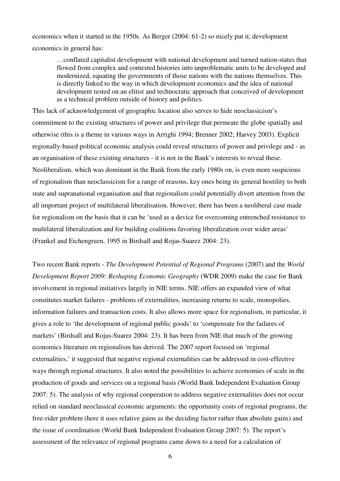economics when it started in the 1950s. As Berger (2004: 61-2) so nicely put it, development economics in general has:

…conflated capitalist development with national development and turned nation-states that flowed from complex and contested histories into unproblematic units to be developed and modernized, equating the governments of those nations with the nations themselves. This is directly linked to the way in which development economics and the idea of national development rested on an elitist and technocratic approach that conceived of development as a technical problem outside of history and politics.

This lack of acknowledgement of geographic location also serves to hide neoclassicism's commitment to the existing structures of power and privilege that permeate the globe spatially and otherwise (this is a theme in various ways in Arrighi 1994; Brenner 2002; Harvey 2003). Explicit regionally-based political economic analysis could reveal structures of power and privilege and - as an organisation of these existing structures - it is not in the Bank's interests to reveal these. Neoliberalism, which was dominant in the Bank from the early 1980s on, is even more suspicious of regionalism than neoclassicism for a range of reasons, key ones being its general hostility to both state and supranational organisation and that regionalism could potentially divert attention from the all important project of multilateral liberalisation. However, there has been a neoliberal case made for regionalism on the basis that it can be 'used as a device for overcoming entrenched resistance to multilateral liberalization and for building coalitions favoring liberalization over wider areas' (Frankel and Eichengreen, 1995 in Birdsall and Rojas-Suarez 2004: 23).

Two recent Bank reports - *The Development Potential of Regional Programs* (2007) and the *World Development Report 2009: Reshaping Economic Geography* (WDR 2009) make the case for Bank involvement in regional initiatives largely in NIE terms. NIE offers an expanded view of what constitutes market failures - problems of externalities, increasing returns to scale, monopolies, information failures and transaction costs. It also allows more space for regionalism, in particular, it gives a role to 'the development of regional public goods' to 'compensate for the failures of markets' (Birdsall and Rojas-Suarez 2004: 23). It has been from NIE that much of the growing economics literature on regionalism has derived. The 2007 report focused on 'regional externalities,' it suggested that negative regional externalities can be addressed in cost-effective ways through regional structures. It also noted the possibilities to achieve economies of scale in the production of goods and services on a regional basis (World Bank Independent Evaluation Group 2007: 5). The analysis of why regional cooperation to address negative externalities does not occur relied on standard neoclassical economic arguments: the opportunity costs of regional programs, the free-rider problem (here it uses relative gains as the deciding factor rather than absolute gains) and the issue of coordination (World Bank Independent Evaluation Group 2007: 5). The report's assessment of the relevance of regional programs came down to a need for a calculation of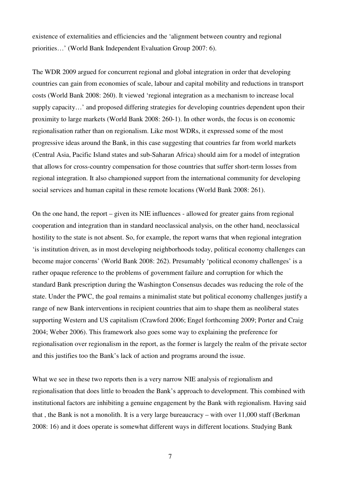existence of externalities and efficiencies and the 'alignment between country and regional priorities…' (World Bank Independent Evaluation Group 2007: 6).

The WDR 2009 argued for concurrent regional and global integration in order that developing countries can gain from economies of scale, labour and capital mobility and reductions in transport costs (World Bank 2008: 260). It viewed 'regional integration as a mechanism to increase local supply capacity…' and proposed differing strategies for developing countries dependent upon their proximity to large markets (World Bank 2008: 260-1). In other words, the focus is on economic regionalisation rather than on regionalism. Like most WDRs, it expressed some of the most progressive ideas around the Bank, in this case suggesting that countries far from world markets (Central Asia, Pacific Island states and sub-Saharan Africa) should aim for a model of integration that allows for cross-country compensation for those countries that suffer short-term losses from regional integration. It also championed support from the international community for developing social services and human capital in these remote locations (World Bank 2008: 261).

On the one hand, the report – given its NIE influences - allowed for greater gains from regional cooperation and integration than in standard neoclassical analysis, on the other hand, neoclassical hostility to the state is not absent. So, for example, the report warns that when regional integration 'is institution driven, as in most developing neighborhoods today, political economy challenges can become major concerns' (World Bank 2008: 262). Presumably 'political economy challenges' is a rather opaque reference to the problems of government failure and corruption for which the standard Bank prescription during the Washington Consensus decades was reducing the role of the state. Under the PWC, the goal remains a minimalist state but political economy challenges justify a range of new Bank interventions in recipient countries that aim to shape them as neoliberal states supporting Western and US capitalism (Crawford 2006; Engel forthcoming 2009; Porter and Craig 2004; Weber 2006). This framework also goes some way to explaining the preference for regionalisation over regionalism in the report, as the former is largely the realm of the private sector and this justifies too the Bank's lack of action and programs around the issue.

What we see in these two reports then is a very narrow NIE analysis of regionalism and regionalisation that does little to broaden the Bank's approach to development. This combined with institutional factors are inhibiting a genuine engagement by the Bank with regionalism. Having said that , the Bank is not a monolith. It is a very large bureaucracy – with over 11,000 staff (Berkman 2008: 16) and it does operate is somewhat different ways in different locations. Studying Bank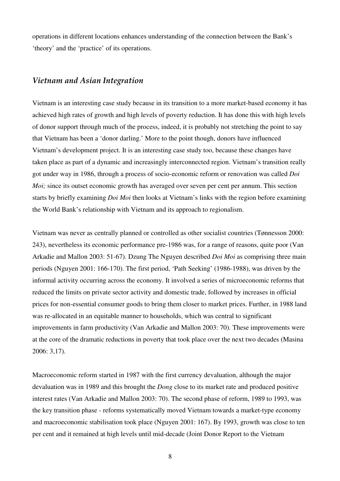operations in different locations enhances understanding of the connection between the Bank's 'theory' and the 'practice' of its operations.

### Vietnam and Asian Integration

Vietnam is an interesting case study because in its transition to a more market-based economy it has achieved high rates of growth and high levels of poverty reduction. It has done this with high levels of donor support through much of the process, indeed, it is probably not stretching the point to say that Vietnam has been a 'donor darling.' More to the point though, donors have influenced Vietnam's development project. It is an interesting case study too, because these changes have taken place as part of a dynamic and increasingly interconnected region. Vietnam's transition really got under way in 1986, through a process of socio-economic reform or renovation was called *Doi Moi*; since its outset economic growth has averaged over seven per cent per annum. This section starts by briefly examining *Doi Moi* then looks at Vietnam's links with the region before examining the World Bank's relationship with Vietnam and its approach to regionalism.

Vietnam was never as centrally planned or controlled as other socialist countries (Tønnesson 2000: 243), nevertheless its economic performance pre-1986 was, for a range of reasons, quite poor (Van Arkadie and Mallon 2003: 51-67). Dzung The Nguyen described *Doi Moi* as comprising three main periods (Nguyen 2001: 166-170). The first period, 'Path Seeking' (1986-1988), was driven by the informal activity occurring across the economy. It involved a series of microeconomic reforms that reduced the limits on private sector activity and domestic trade, followed by increases in official prices for non-essential consumer goods to bring them closer to market prices. Further, in 1988 land was re-allocated in an equitable manner to households, which was central to significant improvements in farm productivity (Van Arkadie and Mallon 2003: 70). These improvements were at the core of the dramatic reductions in poverty that took place over the next two decades (Masina 2006: 3,17).

Macroeconomic reform started in 1987 with the first currency devaluation, although the major devaluation was in 1989 and this brought the *Dong* close to its market rate and produced positive interest rates (Van Arkadie and Mallon 2003: 70). The second phase of reform, 1989 to 1993, was the key transition phase - reforms systematically moved Vietnam towards a market-type economy and macroeconomic stabilisation took place (Nguyen 2001: 167). By 1993, growth was close to ten per cent and it remained at high levels until mid-decade (Joint Donor Report to the Vietnam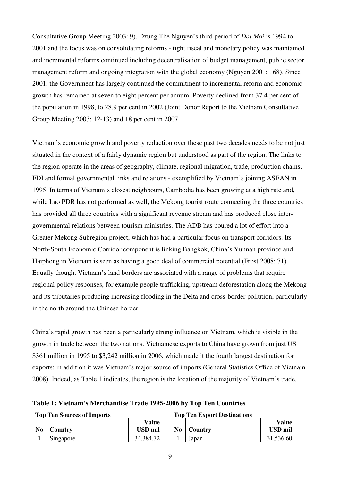Consultative Group Meeting 2003: 9). Dzung The Nguyen's third period of *Doi Moi* is 1994 to 2001 and the focus was on consolidating reforms - tight fiscal and monetary policy was maintained and incremental reforms continued including decentralisation of budget management, public sector management reform and ongoing integration with the global economy (Nguyen 2001: 168). Since 2001, the Government has largely continued the commitment to incremental reform and economic growth has remained at seven to eight percent per annum. Poverty declined from 37.4 per cent of the population in 1998, to 28.9 per cent in 2002 (Joint Donor Report to the Vietnam Consultative Group Meeting 2003: 12-13) and 18 per cent in 2007.

Vietnam's economic growth and poverty reduction over these past two decades needs to be not just situated in the context of a fairly dynamic region but understood as part of the region. The links to the region operate in the areas of geography, climate, regional migration, trade, production chains, FDI and formal governmental links and relations - exemplified by Vietnam's joining ASEAN in 1995. In terms of Vietnam's closest neighbours, Cambodia has been growing at a high rate and, while Lao PDR has not performed as well, the Mekong tourist route connecting the three countries has provided all three countries with a significant revenue stream and has produced close intergovernmental relations between tourism ministries. The ADB has poured a lot of effort into a Greater Mekong Subregion project, which has had a particular focus on transport corridors. Its North-South Economic Corridor component is linking Bangkok, China's Yunnan province and Haiphong in Vietnam is seen as having a good deal of commercial potential (Frost 2008: 71). Equally though, Vietnam's land borders are associated with a range of problems that require regional policy responses, for example people trafficking, upstream deforestation along the Mekong and its tributaries producing increasing flooding in the Delta and cross-border pollution, particularly in the north around the Chinese border.

China's rapid growth has been a particularly strong influence on Vietnam, which is visible in the growth in trade between the two nations. Vietnamese exports to China have grown from just US \$361 million in 1995 to \$3,242 million in 2006, which made it the fourth largest destination for exports; in addition it was Vietnam's major source of imports (General Statistics Office of Vietnam 2008). Indeed, as Table 1 indicates, the region is the location of the majority of Vietnam's trade.

**Table 1: Vietnam's Merchandise Trade 1995-2006 by Top Ten Countries** 

|                | <b>Top Ten Sources of Imports</b> |           |    | <b>Top Ten Export Destinations</b> |           |
|----------------|-----------------------------------|-----------|----|------------------------------------|-----------|
|                |                                   | Value     |    |                                    | Value     |
| N <sub>0</sub> | Countrv                           | USD mil   | No | Country                            | USD mil   |
|                | Singapore                         | 34,384.72 |    | Japan                              | 31,536.60 |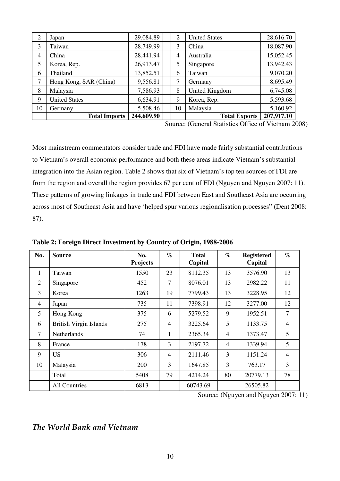|                | <b>Total Imports</b>   | 244,609.90 |    | <b>Total Exports</b>  | 207,917.10 |
|----------------|------------------------|------------|----|-----------------------|------------|
| 10             | Germany                | 5,508.46   | 10 | Malaysia              | 5,160.92   |
| 9              | <b>United States</b>   | 6,634.91   | 9  | Korea, Rep.           | 5,593.68   |
| 8              | Malaysia               | 7,586.93   | 8  | <b>United Kingdom</b> | 6,745.08   |
| 7              | Hong Kong, SAR (China) | 9,556.81   | 7  | Germany               | 8,695.49   |
| 6              | Thailand               | 13,852.51  | 6  | Taiwan                | 9,070.20   |
| 5              | Korea, Rep.            | 26,913.47  |    | Singapore             | 13,942.43  |
| 4              | China                  | 28,441.94  | 4  | Australia             | 15,052.45  |
| 3              | Taiwan                 | 28,749.99  | 3  | China                 | 18,087.90  |
| $\overline{2}$ | Japan                  | 29,084.89  | 2  | <b>United States</b>  | 28,616.70  |

Source: (General Statistics Office of Vietnam 2008)

Most mainstream commentators consider trade and FDI have made fairly substantial contributions to Vietnam's overall economic performance and both these areas indicate Vietnam's substantial integration into the Asian region. Table 2 shows that six of Vietnam's top ten sources of FDI are from the region and overall the region provides 67 per cent of FDI (Nguyen and Nguyen 2007: 11). These patterns of growing linkages in trade and FDI between East and Southeast Asia are occurring across most of Southeast Asia and have 'helped spur various regionalisation processes" (Dent 2008: 87).

| No. | <b>Source</b>                 | No.<br><b>Projects</b> | $\%$           | <b>Total</b><br>Capital | $\%$           | <b>Registered</b><br>Capital | $\%$           |
|-----|-------------------------------|------------------------|----------------|-------------------------|----------------|------------------------------|----------------|
| 1   | Taiwan                        | 1550                   | 23             | 8112.35                 | 13             | 3576.90                      | 13             |
| 2   | Singapore                     | 452                    | 7              | 8076.01                 | 13             | 2982.22                      | 11             |
| 3   | Korea                         | 1263                   | 19             | 7799.43                 | 13             | 3228.95                      | 12             |
| 4   | Japan                         | 735                    | 11             | 7398.91                 | 12             | 3277.00                      | 12             |
| 5   | Hong Kong                     | 375                    | 6              | 5279.52                 | 9              | 1952.51                      | $\overline{7}$ |
| 6   | <b>British Virgin Islands</b> | 275                    | $\overline{4}$ | 3225.64                 | 5              | 1133.75                      | $\overline{4}$ |
| 7   | <b>Netherlands</b>            | 74                     | 1              | 2365.34                 | $\overline{4}$ | 1373.47                      | 5              |
| 8   | France                        | 178                    | 3              | 2197.72                 | $\overline{4}$ | 1339.94                      | 5              |
| 9   | US.                           | 306                    | $\overline{4}$ | 2111.46                 | 3              | 1151.24                      | $\overline{4}$ |
| 10  | Malaysia                      | 200                    | 3              | 1647.85                 | 3              | 763.17                       | 3              |
|     | Total                         | 5408                   | 79             | 4214.24                 | 80             | 20779.13                     | 78             |
|     | <b>All Countries</b>          | 6813                   |                | 60743.69                |                | 26505.82                     |                |

**Table 2: Foreign Direct Investment by Country of Origin, 1988-2006** 

Source: (Nguyen and Nguyen 2007: 11)

## The World Bank and Vietnam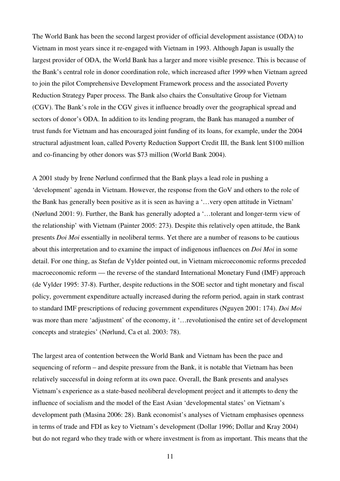The World Bank has been the second largest provider of official development assistance (ODA) to Vietnam in most years since it re-engaged with Vietnam in 1993. Although Japan is usually the largest provider of ODA, the World Bank has a larger and more visible presence. This is because of the Bank's central role in donor coordination role, which increased after 1999 when Vietnam agreed to join the pilot Comprehensive Development Framework process and the associated Poverty Reduction Strategy Paper process. The Bank also chairs the Consultative Group for Vietnam (CGV). The Bank's role in the CGV gives it influence broadly over the geographical spread and sectors of donor's ODA. In addition to its lending program, the Bank has managed a number of trust funds for Vietnam and has encouraged joint funding of its loans, for example, under the 2004 structural adjustment loan, called Poverty Reduction Support Credit III, the Bank lent \$100 million and co-financing by other donors was \$73 million (World Bank 2004).

A 2001 study by Irene Nørlund confirmed that the Bank plays a lead role in pushing a 'development' agenda in Vietnam. However, the response from the GoV and others to the role of the Bank has generally been positive as it is seen as having a '…very open attitude in Vietnam' (Nørlund 2001: 9). Further, the Bank has generally adopted a '…tolerant and longer-term view of the relationship' with Vietnam (Painter 2005: 273). Despite this relatively open attitude, the Bank presents *Doi Moi* essentially in neoliberal terms. Yet there are a number of reasons to be cautious about this interpretation and to examine the impact of indigenous influences on *Doi Moi* in some detail. For one thing, as Stefan de Vylder pointed out, in Vietnam microeconomic reforms preceded macroeconomic reform — the reverse of the standard International Monetary Fund (IMF) approach (de Vylder 1995: 37-8). Further, despite reductions in the SOE sector and tight monetary and fiscal policy, government expenditure actually increased during the reform period, again in stark contrast to standard IMF prescriptions of reducing government expenditures (Nguyen 2001: 174). *Doi Moi* was more than mere 'adjustment' of the economy, it '…revolutionised the entire set of development concepts and strategies' (Nørlund, Ca et al. 2003: 78).

The largest area of contention between the World Bank and Vietnam has been the pace and sequencing of reform – and despite pressure from the Bank, it is notable that Vietnam has been relatively successful in doing reform at its own pace. Overall, the Bank presents and analyses Vietnam's experience as a state-based neoliberal development project and it attempts to deny the influence of socialism and the model of the East Asian 'developmental states' on Vietnam's development path (Masina 2006: 28). Bank economist's analyses of Vietnam emphasises openness in terms of trade and FDI as key to Vietnam's development (Dollar 1996; Dollar and Kray 2004) but do not regard who they trade with or where investment is from as important. This means that the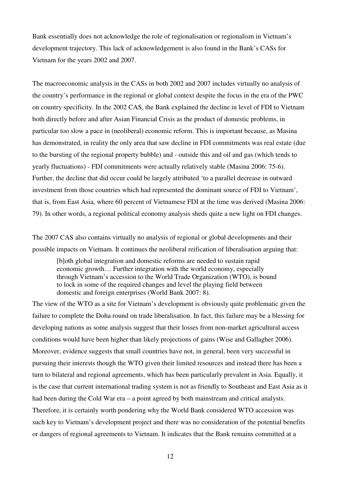Bank essentially does not acknowledge the role of regionalisation or regionalism in Vietnam's development trajectory. This lack of acknowledgement is also found in the Bank's CASs for Vietnam for the years 2002 and 2007.

The macroeconomic analysis in the CASs in both 2002 and 2007 includes virtually no analysis of the country's performance in the regional or global context despite the focus in the era of the PWC on country specificity. In the 2002 CAS, the Bank explained the decline in level of FDI to Vietnam both directly before and after Asian Financial Crisis as the product of domestic problems, in particular too slow a pace in (neoliberal) economic reform. This is important because, as Masina has demonstrated, in reality the only area that saw decline in FDI commitments was real estate (due to the bursting of the regional property bubble) and - outside this and oil and gas (which tends to yearly fluctuations) - FDI commitments were actually relatively stable (Masina 2006: 75-6). Further, the decline that did occur could be largely attributed 'to a parallel decrease in outward investment from those countries which had represented the dominant source of FDI to Vietnam', that is, from East Asia, where 60 percent of Vietnamese FDI at the time was derived (Masina 2006: 79). In other words, a regional political economy analysis sheds quite a new light on FDI changes.

The 2007 CAS also contains virtually no analysis of regional or global developments and their possible impacts on Vietnam. It continues the neoliberal reification of liberalisation arguing that:

[b]oth global integration and domestic reforms are needed to sustain rapid economic growth… Further integration with the world economy, especially through Vietnam's accession to the World Trade Organization (WTO), is bound to lock in some of the required changes and level the playing field between domestic and foreign enterprises (World Bank 2007: 8).

The view of the WTO as a site for Vietnam's development is obviously quite problematic given the failure to complete the Doha round on trade liberalisation. In fact, this failure may be a blessing for developing nations as some analysis suggest that their losses from non-market agricultural access conditions would have been higher than likely projections of gains (Wise and Gallagher 2006). Moreover, evidence suggests that small countries have not, in general, been very successful in pursuing their interests though the WTO given their limited resources and instead there has been a turn to bilateral and regional agreements, which has been particularly prevalent in Asia. Equally, it is the case that current international trading system is not as friendly to Southeast and East Asia as it had been during the Cold War era – a point agreed by both mainstream and critical analysts. Therefore, it is certainly worth pondering why the World Bank considered WTO accession was such key to Vietnam's development project and there was no consideration of the potential benefits or dangers of regional agreements to Vietnam. It indicates that the Bank remains committed at a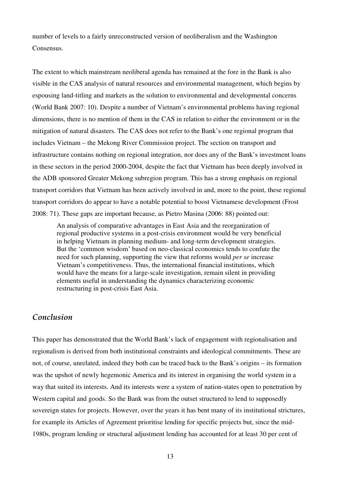number of levels to a fairly unreconstructed version of neoliberalism and the Washington Consensus.

The extent to which mainstream neoliberal agenda has remained at the fore in the Bank is also visible in the CAS analysis of natural resources and environmental management, which begins by espousing land-titling and markets as the solution to environmental and developmental concerns (World Bank 2007: 10). Despite a number of Vietnam's environmental problems having regional dimensions, there is no mention of them in the CAS in relation to either the environment or in the mitigation of natural disasters. The CAS does not refer to the Bank's one regional program that includes Vietnam – the Mekong River Commission project. The section on transport and infrastructure contains nothing on regional integration, nor does any of the Bank's investment loans in these sectors in the period 2000-2004, despite the fact that Vietnam has been deeply involved in the ADB sponsored Greater Mekong subregion program. This has a strong emphasis on regional transport corridors that Vietnam has been actively involved in and, more to the point, these regional transport corridors do appear to have a notable potential to boost Vietnamese development (Frost 2008: 71). These gaps are important because, as Pietro Masina (2006: 88) pointed out:

An analysis of comparative advantages in East Asia and the reorganization of regional productive systems in a post-crisis environment would be very beneficial in helping Vietnam in planning medium- and long-term development strategies. But the 'common wisdom' based on neo-classical economics tends to confute the need for such planning, supporting the view that reforms would *per se* increase Vietnam's competitiveness. Thus, the international financial institutions, which would have the means for a large-scale investigation, remain silent in providing elements useful in understanding the dynamics characterizing economic restructuring in post-crisis East Asia.

## Conclusion

This paper has demonstrated that the World Bank's lack of engagement with regionalisation and regionalism is derived from both institutional constraints and ideological commitments. These are not, of course, unrelated, indeed they both can be traced back to the Bank's origins – its formation was the upshot of newly hegemonic America and its interest in organising the world system in a way that suited its interests. And its interests were a system of nation-states open to penetration by Western capital and goods. So the Bank was from the outset structured to lend to supposedly sovereign states for projects. However, over the years it has bent many of its institutional strictures, for example its Articles of Agreement prioritise lending for specific projects but, since the mid-1980s, program lending or structural adjustment lending has accounted for at least 30 per cent of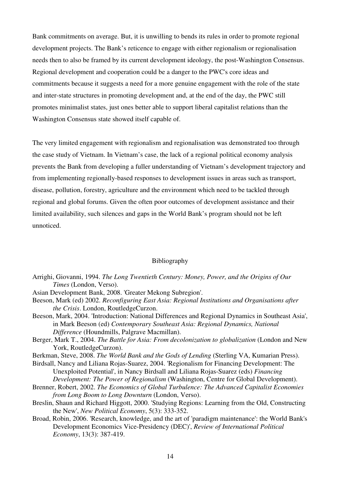Bank commitments on average. But, it is unwilling to bends its rules in order to promote regional development projects. The Bank's reticence to engage with either regionalism or regionalisation needs then to also be framed by its current development ideology, the post-Washington Consensus. Regional development and cooperation could be a danger to the PWC's core ideas and commitments because it suggests a need for a more genuine engagement with the role of the state and inter-state structures in promoting development and, at the end of the day, the PWC still promotes minimalist states, just ones better able to support liberal capitalist relations than the Washington Consensus state showed itself capable of.

The very limited engagement with regionalism and regionalisation was demonstrated too through the case study of Vietnam. In Vietnam's case, the lack of a regional political economy analysis prevents the Bank from developing a fuller understanding of Vietnam's development trajectory and from implementing regionally-based responses to development issues in areas such as transport, disease, pollution, forestry, agriculture and the environment which need to be tackled through regional and global forums. Given the often poor outcomes of development assistance and their limited availability, such silences and gaps in the World Bank's program should not be left unnoticed.

### Bibliography

- Arrighi, Giovanni, 1994. *The Long Twentieth Century: Money, Power, and the Origins of Our Times* (London, Verso).
- Asian Development Bank, 2008. 'Greater Mekong Subregion'.
- Beeson, Mark (ed) 2002. *Reconfiguring East Asia: Regional Institutions and Organisations after the Crisis*. London, RoutledgeCurzon.
- Beeson, Mark, 2004. 'Introduction: National Differences and Regional Dynamics in Southeast Asia', in Mark Beeson (ed) *Contemporary Southeast Asia: Regional Dynamics, National Difference* (Houndmills, Palgrave Macmillan).
- Berger, Mark T., 2004. *The Battle for Asia: From decolonization to globalization* (London and New York, RoutledgeCurzon).
- Berkman, Steve, 2008. *The World Bank and the Gods of Lending* (Sterling VA, Kumarian Press).
- Birdsall, Nancy and Liliana Rojas-Suarez, 2004. 'Regionalism for Financing Development: The Unexploited Potential', in Nancy Birdsall and Liliana Rojas-Suarez (eds) *Financing Development: The Power of Regionalism* (Washington, Centre for Global Development).
- Brenner, Robert, 2002. *The Economics of Global Turbulence: The Advanced Capitalist Economies from Long Boom to Long Downturn* (London, Verso).
- Breslin, Shaun and Richard Higgott, 2000. 'Studying Regions: Learning from the Old, Constructing the New', *New Political Economy*, 5(3): 333-352.
- Broad, Robin, 2006. 'Research, knowledge, and the art of 'paradigm maintenance': the World Bank's Development Economics Vice-Presidency (DEC)', *Review of International Political Economy*, 13(3): 387-419.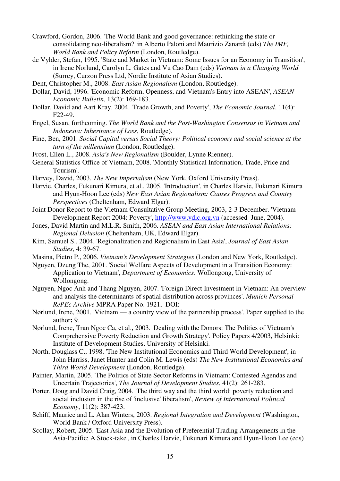- Crawford, Gordon, 2006. 'The World Bank and good governance: rethinking the state or consolidating neo-liberalism?' in Alberto Paloni and Maurizio Zanardi (eds) *The IMF, World Bank and Policy Reform* (London, Routledge).
- de Vylder, Stefan, 1995. 'State and Market in Vietnam: Some Issues for an Economy in Transition', in Irene Norlund, Carolyn L. Gates and Vu Cao Dam (eds) *Vietnam in a Changing World* (Surrey, Curzon Press Ltd, Nordic Institute of Asian Studies).
- Dent, Christopher M., 2008. *East Asian Regionalism* (London, Routledge).
- Dollar, David, 1996. 'Economic Reform, Openness, and Vietnam's Entry into ASEAN', *ASEAN Economic Bulletin*, 13(2): 169-183.
- Dollar, David and Aart Kray, 2004. 'Trade Growth, and Poverty', *The Economic Journal*, 11(4): F22-49.
- Engel, Susan, forthcoming. *The World Bank and the Post-Washington Consensus in Vietnam and Indonesia: Inheritance of Loss*, Routledge).
- Fine, Ben, 2001. *Social Capital versus Social Theory: Political economy and social science at the turn of the millennium* (London, Routledge).
- Frost, Ellen L., 2008. *Asia's New Regionalism* (Boulder, Lynne Rienner).
- General Statistics Office of Vietnam, 2008. 'Monthly Statistical Information, Trade, Price and Tourism'.
- Harvey, David, 2003. *The New Imperialism* (New York, Oxford University Press).
- Harvie, Charles, Fukunari Kimura, et al., 2005. 'Introduction', in Charles Harvie, Fukunari Kimura and Hyun-Hoon Lee (eds) *New East Asian Regionalism: Causes Progress and Country Perspectives* (Cheltenham, Edward Elgar).
- Joint Donor Report to the Vietnam Consultative Group Meeting, 2003, 2-3 December. 'Vietnam Development Report 2004: Poverty', http://www.vdic.org.vn (accessed June, 2004).
- Jones, David Martin and M.L.R. Smith, 2006. *ASEAN and East Asian International Relations: Regional Delusion* (Cheltenham, UK, Edward Elgar).
- Kim, Samuel S., 2004. 'Regionalization and Regionalism in East Asia', *Journal of East Asian Studies*, 4: 39-67.
- Masina, Pietro P., 2006. *Vietnam's Development Strategies* (London and New York, Routledge).
- Nguyen, Dzung The, 2001. 'Social Welfare Aspects of Development in a Transition Economy: Application to Vietnam', *Department of Economics*. Wollongong, University of Wollongong.
- Nguyen, Ngoc Anh and Thang Nguyen, 2007. 'Foreign Direct Investment in Vietnam: An overview and analysis the determinants of spatial distribution across provinces'. *Munich Personal RePEc Archive* MPRA Paper No. 1921, DOI:
- Nørlund, Irene, 2001. 'Vietnam a country view of the partnership process'. Paper supplied to the author**:** 9.
- Nørlund, Irene, Tran Ngoc Ca, et al., 2003. 'Dealing with the Donors: The Politics of Vietnam's Comprehensive Poverty Reduction and Growth Strategy'. Policy Papers 4/2003, Helsinki: Institute of Development Studies, University of Helsinki.
- North, Douglass C., 1998. 'The New Institutional Economics and Third World Development', in John Harriss, Janet Hunter and Colin M. Lewis (eds) *The New Institutional Economics and Third World Development* (London, Routledge).
- Painter, Martin, 2005. 'The Politics of State Sector Reforms in Vietnam: Contested Agendas and Uncertain Trajectories', *The Journal of Development Studies*, 41(2): 261-283.
- Porter, Doug and David Craig, 2004. 'The third way and the third world: poverty reduction and social inclusion in the rise of 'inclusive' liberalism', *Review of International Political Economy*, 11(2): 387-423.
- Schiff, Maurice and L. Alan Winters, 2003. *Regional Integration and Development* (Washington, World Bank / Oxford University Press).
- Scollay, Robert, 2005. 'East Asia and the Evolution of Preferential Trading Arrangements in the Asia-Pacific: A Stock-take', in Charles Harvie, Fukunari Kimura and Hyun-Hoon Lee (eds)